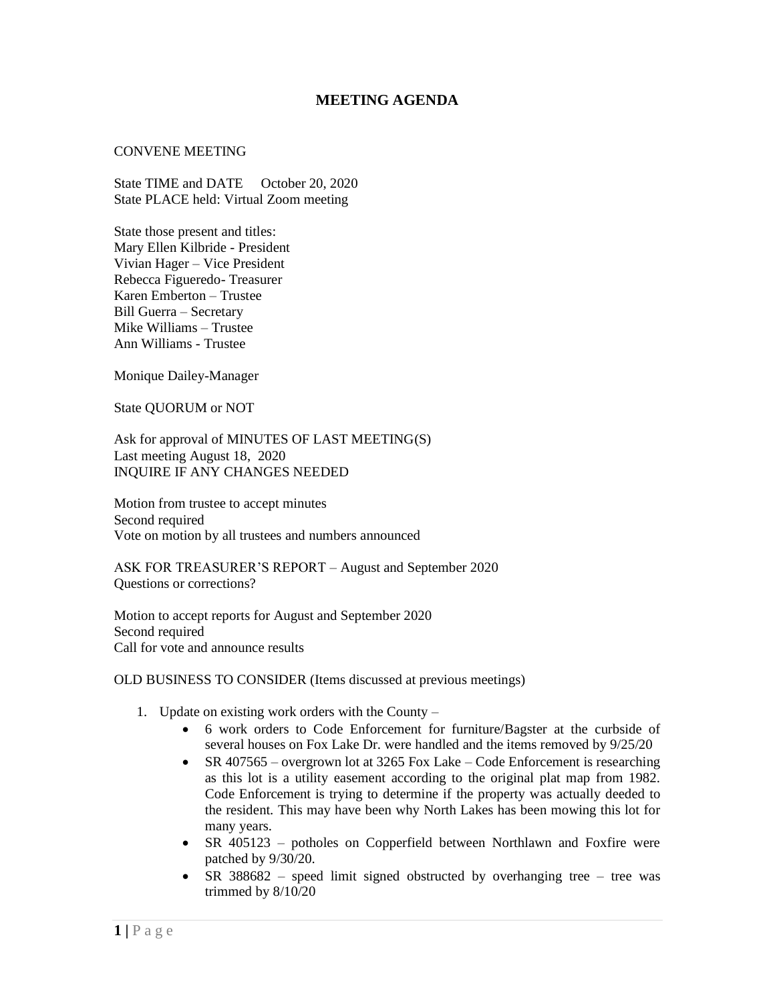## **MEETING AGENDA**

## CONVENE MEETING

State TIME and DATE October 20, 2020 State PLACE held: Virtual Zoom meeting

State those present and titles: Mary Ellen Kilbride - President Vivian Hager – Vice President Rebecca Figueredo- Treasurer Karen Emberton – Trustee Bill Guerra – Secretary Mike Williams – Trustee Ann Williams - Trustee

Monique Dailey-Manager

State QUORUM or NOT

Ask for approval of MINUTES OF LAST MEETING(S) Last meeting August 18, 2020 INQUIRE IF ANY CHANGES NEEDED

Motion from trustee to accept minutes Second required Vote on motion by all trustees and numbers announced

ASK FOR TREASURER'S REPORT – August and September 2020 Questions or corrections?

Motion to accept reports for August and September 2020 Second required Call for vote and announce results

OLD BUSINESS TO CONSIDER (Items discussed at previous meetings)

- 1. Update on existing work orders with the County
	- 6 work orders to Code Enforcement for furniture/Bagster at the curbside of several houses on Fox Lake Dr. were handled and the items removed by 9/25/20
	- SR 407565 overgrown lot at 3265 Fox Lake Code Enforcement is researching as this lot is a utility easement according to the original plat map from 1982. Code Enforcement is trying to determine if the property was actually deeded to the resident. This may have been why North Lakes has been mowing this lot for many years.
	- SR 405123 potholes on Copperfield between Northlawn and Foxfire were patched by 9/30/20.
	- SR 388682 speed limit signed obstructed by overhanging tree tree was trimmed by 8/10/20